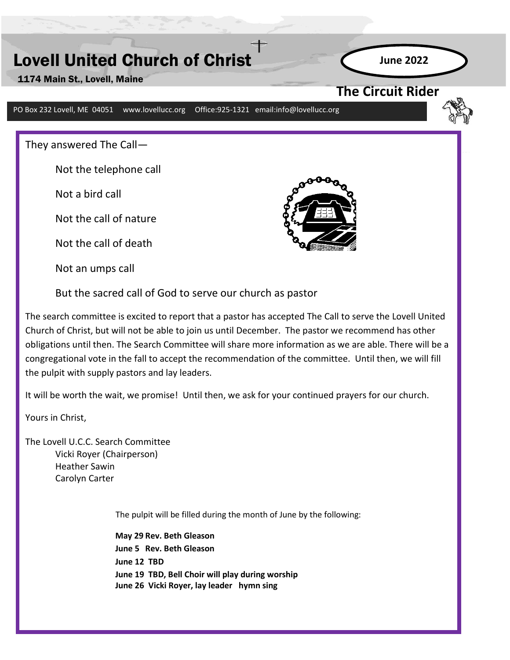# Lovell United Church of Christ

1174 Main St., Lovell, Maine

PO Box 232 Lovell, ME 04051 www.lovellucc.org Office:925-1321 email:info@lovellucc.org

They answered The Call—

Not the telephone call

Not a bird call

Not the call of nature

Not the call of death

Not an umps call



**The Circuit Rider** 

**June 2022**

But the sacred call of God to serve our church as pastor

**April 2018** The search committee is excited to report that a pastor has accepted The Call to serve the Lovell United Church of Christ, but will not be able to join us until December. The pastor we recommend has other obligations until then. The Search Committee will share more information as we are able. There will be a congregational vote in the fall to accept the recommendation of the committee. Until then, we will fill the pulpit with supply pastors and lay leaders.

It will be worth the wait, we promise! Until then, we ask for your continued prayers for our church.

Yours in Christ,

The Lovell U.C.C. Search Committee Vicki Royer (Chairperson) Heather Sawin Carolyn Carter

The pulpit will be filled during the month of June by the following:

**May 29 Rev. Beth Gleason June 5 Rev. Beth Gleason June 12 TBD June 19 TBD, Bell Choir will play during worship June 26 Vicki Royer, lay leader hymn sing**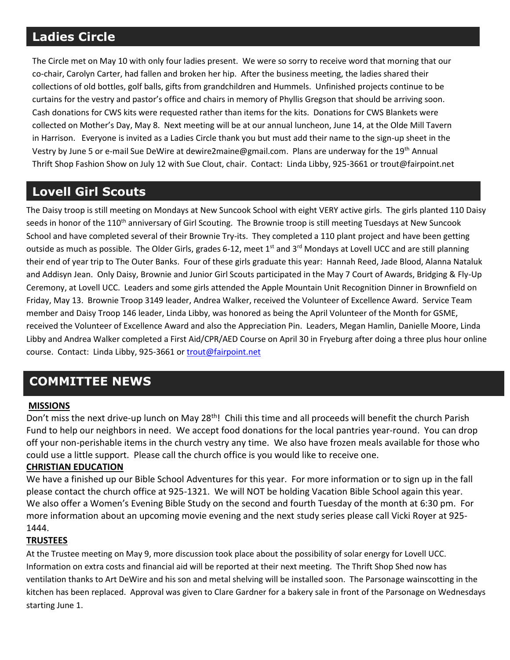# **Ladies Circle**

The Circle met on May 10 with only four ladies present. We were so sorry to receive word that morning that our co-chair, Carolyn Carter, had fallen and broken her hip. After the business meeting, the ladies shared their collections of old bottles, golf balls, gifts from grandchildren and Hummels. Unfinished projects continue to be curtains for the vestry and pastor's office and chairs in memory of Phyllis Gregson that should be arriving soon. Cash donations for CWS kits were requested rather than items for the kits. Donations for CWS Blankets were collected on Mother's Day, May 8. Next meeting will be at our annual luncheon, June 14, at the Olde Mill Tavern in Harrison. Everyone is invited as a Ladies Circle thank you but must add their name to the sign-up sheet in the Vestry by June 5 or e-mail Sue DeWire at dewire2maine@gmail.com. Plans are underway for the 19<sup>th</sup> Annual Thrift Shop Fashion Show on July 12 with Sue Clout, chair. Contact: Linda Libby, 925-3661 or trout@fairpoint.net

# **Lovell Girl Scouts**

The Daisy troop is still meeting on Mondays at New Suncook School with eight VERY active girls. The girls planted 110 Daisy seeds in honor of the 110<sup>th</sup> anniversary of Girl Scouting. The Brownie troop is still meeting Tuesdays at New Suncook School and have completed several of their Brownie Try-its. They completed a 110 plant project and have been getting outside as much as possible. The Older Girls, grades 6-12, meet  $1<sup>st</sup>$  and  $3<sup>rd</sup>$  Mondays at Lovell UCC and are still planning their end of year trip to The Outer Banks. Four of these girls graduate this year: Hannah Reed, Jade Blood, Alanna Nataluk and Addisyn Jean. Only Daisy, Brownie and Junior Girl Scouts participated in the May 7 Court of Awards, Bridging & Fly-Up Ceremony, at Lovell UCC. Leaders and some girls attended the Apple Mountain Unit Recognition Dinner in Brownfield on Friday, May 13. Brownie Troop 3149 leader, Andrea Walker, received the Volunteer of Excellence Award. Service Team member and Daisy Troop 146 leader, Linda Libby, was honored as being the April Volunteer of the Month for GSME, received the Volunteer of Excellence Award and also the Appreciation Pin. Leaders, Megan Hamlin, Danielle Moore, Linda Libby and Andrea Walker completed a First Aid/CPR/AED Course on April 30 in Fryeburg after doing a three plus hour online course. Contact: Linda Libby, 925-3661 or [trout@fairpoint.net](mailto:trout@fairpoint.net)

# **COMMITTEE NEWS**

#### **MISSIONS**

Don't miss the next drive-up lunch on May 28<sup>th</sup>! Chili this time and all proceeds will benefit the church Parish Fund to help our neighbors in need. We accept food donations for the local pantries year-round. You can drop off your non-perishable items in the church vestry any time. We also have frozen meals available for those who could use a little support. Please call the church office is you would like to receive one.

#### **CHRISTIAN EDUCATION**

We have a finished up our Bible School Adventures for this year. For more information or to sign up in the fall please contact the church office at 925-1321. We will NOT be holding Vacation Bible School again this year. We also offer a Women's Evening Bible Study on the second and fourth Tuesday of the month at 6:30 pm. For more information about an upcoming movie evening and the next study series please call Vicki Royer at 925- 1444.

#### **TRUSTEES**

At the Trustee meeting on May 9, more discussion took place about the possibility of solar energy for Lovell UCC. Information on extra costs and financial aid will be reported at their next meeting. The Thrift Shop Shed now has ventilation thanks to Art DeWire and his son and metal shelving will be installed soon. The Parsonage wainscotting in the kitchen has been replaced. Approval was given to Clare Gardner for a bakery sale in front of the Parsonage on Wednesdays starting June 1.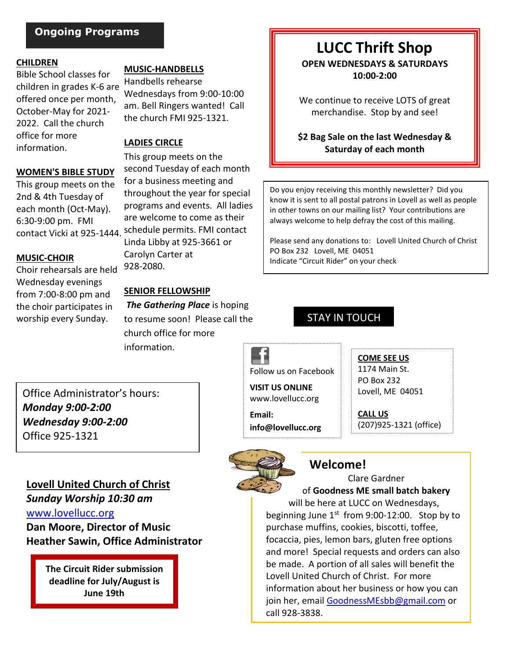### **Ongoing Programs**

#### **CHILDREN**

Bible School classes for children in grades K-6 are offered once per month, October-May for 2021- 2022. Call the church office for more information.

#### **WOMEN'S BIBLE STUDY**

This group meets on the 2nd & 4th Tuesday of each month (Oct-May). 6:30-9:00 pm. FMI

#### **MUSIC-CHOIR**

Choir rehearsals are held Wednesday evenings from 7:00-8:00 pm and the choir participates in worship every Sunday.

#### **MUSIC-HANDBELLS**

Handbells rehearse Wednesdays from 9:00-10:00 am. Bell Ringers wanted! Call the church FMI 925-1321.

#### **LADIES CIRCLE**

This group meets on the second Tuesday of each month for a business meeting and throughout the year for special programs and events. All ladies are welcome to come as their contact Vicki at 925-1444. schedule permits. FMI contact Linda Libby at 925-3661 or Carolyn Carter at 928-2080.

#### **SENIOR FELLOWSHIP**

*The Gathering Place* is hoping to resume soon! Please call the church office for more information.

Office Administrator's hours: *Monday 9:00-2:00 Wednesday 9:00-2:00* Office 925-1321

### **Lovell United Church of Christ**

*Sunday Worship 10:30 am* [www.lovellucc.org](http://www.lovellucc.org/) **Dan Moore, Director of Music Heather Sawin, Office Administrator**

> **The Circuit Rider submission deadline for July/August is June 19th**

### **LUCC Thrift Shop OPEN WEDNESDAYS & SATURDAYS 10:00-2:00**

We continue to receive LOTS of great merchandise.Stop by and see!

**\$2 Bag Sale on the last Wednesday & Saturday of each month**

Do you enjoy receiving this monthly newsletter? Did you know it is sent to all postal patrons in Lovell as well as people in other towns on our mailing list? Your contributions are always welcome to help defray the cost of this mailing.

Please send any donations to: Lovell United Church of Christ PO Box 232 Lovell, ME 04051 Indicate "Circuit Rider" on your check

## STAY IN TOUCH

Follow us on Facebook

**VISIT US ONLINE** www.lovellucc.org

**Email: info@lovellucc.org**

#### 1174 Main St. PO Box 232

**COME SEE US**

Lovell, ME 04051

**CALL US** (207)925-1321 (office)



## **Welcome!**

Clare Gardner of **Goodness ME small batch bakery** will be here at LUCC on Wednesdays, beginning June 1<sup>st</sup> from 9:00-12:00. Stop by to purchase muffins, cookies, biscotti, toffee, focaccia, pies, lemon bars, gluten free options and more! Special requests and orders can also be made. A portion of all sales will benefit the Lovell United Church of Christ. For more information about her business or how you can join her, email [GoodnessMEsbb@gmail.com](mailto:GoodnessMEsbb@gmail.com) or call 928-3838.